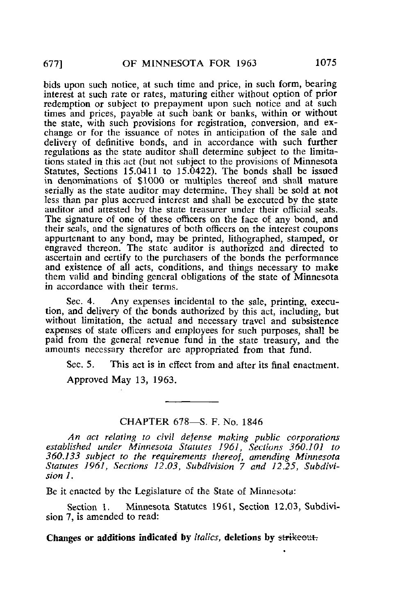bids upon such notice, at such time and price, in such form, bearing interest at such rate or rates, maturing either without option of prior redemption or subject to prepayment upon such notice and at such times and prices, payable at such bank or banks, within or without the state, with such provisions for registration, conversion, and exchange or for the issuance of notes in anticipation of the sale and delivery of definitive bonds, and in accordance with such further regulations as the state auditor shall determine subject to the limitations stated in this act (but not subject to the provisions of Minnesota Statutes, Sections 15.0411 to 15.0422). The bonds shall be issued in denominations of \$1000 or multiples thereof and shall mature serially as the state auditor may determine. They shall be sold at not less than par plus accrued interest and shall be executed by the state auditor and attested by the state treasurer under their official seals. The signature of one of these officers on the face of any bond, and their seals, and the signatures of both officers on the interest coupons appurtenant to any bond, may be printed, lithographed, stamped, or engraved thereon. The state auditor is authorized and directed to ascertain and certify to the purchasers of the bonds the performance and existence of all acts, conditions, and things necessary to make them valid and binding general obligations of the state of Minnesota in accordance with their terms.

Sec. 4. Any expenses incidental to the sale, printing, execution, and delivery of the bonds authorized by this act, including, but without limitation, the actual and necessary travel and subsistence expenses of state officers and employees for such purposes, shall be paid from the general revenue fund in the state treasury, and the amounts necessary therefor are appropriated from that fund.

Sec. 5. This act is in effect from and after its final enactment.

Approved May 13, 1963.

## CHAPTER 678—S. F. No. 1846

An act relating to civil defense making public corporations established under Minnesota Statutes 1961, Sections 360.101 to 360.133 subject to the requirements thereof, amending Minnesota Statutes 1961, Sections 12.03, Subdivision 7 and 12.25, Subdivision 1.

Be it enacted by the Legislature of the State of Minnesota:

Section 1. Minnesota Statutes 1961, Section 12.03, Subdivision 7, is amended to read:

Changes or additions indicated by *italics*, deletions by strikeout.